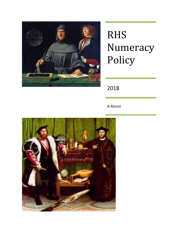

# RHS Numeracy Policy

2018

A Alonzi

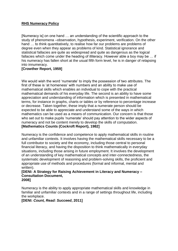## **RHS Numeracy Policy**

[Numeracy is] on one hand … an understanding of the scientific approach to the study of phenomena –observation, hypothesis, experiment, verification. On the other hand … to think quantitatively, to realise how far our problems are problems of degree even when they appear as problems of kind. Statistical ignorance and statistical fallacies are quite as widespread and quite as dangerous as the logical fallacies which come under the heading of illiteracy. However able a boy may be … if his numeracy has fallen short at the usual fifth form level, he is in danger of relapsing into innumeracy.

#### **[Crowther Report, 1959]**

We would wish the word 'numerate' to imply the possession of two attributes. The first of these is 'at homeness' with numbers and an ability to make use of mathematical skills which enables an individual to cope with the practical mathematical demands of his everyday life. The second is an ability to have some appreciation and understanding of information which is presented in mathematical terms, for instance in graphs, charts or tables or by reference to percentage increase or decrease. Taken together, these imply that a numerate person should be expected to be able to appreciate and understand some of the ways in which mathematics can be used as a means of communication. Our concern is that those who set out to make pupils 'numerate' should pay attention to the wider aspects of numeracy and not be content merely to develop the skills of computation. **[Mathematics Counts (Cockroft Report), 1982]**

Numeracy is the confidence and competence to apply mathematical skills in routine and unfamiliar contexts. It involves having the mathematical skills necessary to be a full contributor to society and the economy, including those central to personal financial literacy, and having the disposition to think mathematically in everyday situations, including those arising in future employment. It involves the development of an understanding of key mathematical concepts and inter-connectedness, the systematic development of reasoning and problem-solving skills, the proficient and appropriate use of methods and procedures (formal and informal, mental and written).

#### **[DENI: A Strategy for Raising Achievement in Literacy and Numeracy – Consultation Document, 2008]**

Numeracy is the ability to apply appropriate mathematical skills and knowledge in familiar and unfamiliar contexts and in a range of settings throughout life, including the workplace.

**[DENI:** *Count, Read: Succeed***, 2011]**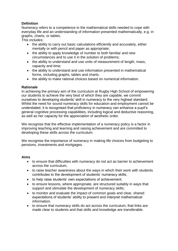# **Definition**

Numeracy refers to a competence in the mathematical skills needed to cope with everyday life and an understanding of information presented mathematically, e.g. in graphs, charts, or tables.

This includes:

- the ability to carry out basic calculations efficiently and accurately, either mentally or with pencil and paper as appropriate;
- the ability to apply knowledge of number to both familiar and new circumstances and to use it in the solution of problems;
- the ability to understand and use units of measurement of length, mass, capacity and time;
- the ability to understand and use information presented in mathematical forms, including graphs, tables and charts.
- the ability to make rational choices based on numerical information.

# **Rationale**

In achieving the primary aim of the curriculum at Rugby High School of empowering our students to achieve the very best of which they are capable, we commit ourselves to developing students' skill in numeracy to the very highest standard. Whilst the need for sound numeracy skills for education and employment cannot be understated, it is recognised that proficiency in numeracy can enhance a pupil's general cognitive processing capabilities, including logical and deductive reasoning, as well as her capacity for the appreciation of aesthetic order.

We recognise that the effective implementation of a numeracy policy is a factor in improving teaching and learning and raising achievement and are committed to developing these skills across the curriculum.

We recognise the importance of numeracy in making life choices from budgeting to pensions, investments and mortgages.

#### **Aims**

- to ensure that difficulties with numeracy do not act as barrier to achievement across the curriculum;
- to raise teacher awareness about the ways in which their work with students contributes to the development of students' numeracy skills;
- to help raise students' own expectations of achievement;
- to ensure lessons, where appropriate, are structured suitably in ways that support and stimulate the development of numeracy skills;
- to monitor and evaluate the impact of common goals and clear, shared expectations of students' ability to present and interpret mathematical information.
- to ensure that numeracy skills do act across the curriculum; that links are made clear to students and that skills and knowledge are transferable.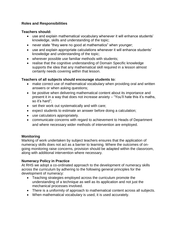# **Roles and Responsibilities**

#### **Teachers should:**

- use and explain mathematical vocabulary whenever it will enhance students' knowledge, skills and understanding of the topic;
- never state "they were no good at mathematics" when younger;
- use and explain appropriate calculations whenever it will enhance students' knowledge and understanding of the topic;
- wherever possible use familiar methods with students;
- realise that the cognitive understanding of Domain Specific knowledge supports the idea that any mathematical skill required in a lesson almost certainly needs covering within that lesson.

#### **Teachers of all subjects should encourage students to:**

- make correct use of mathematical vocabulary when providing oral and written answers or when asking questions;
- be positive when delivering mathematical content about its importance and present it in a way that does not increase anxiety – "You'll hate this it's maths, so it's hard";
- set their work out systematically and with care;
- expect students to estimate an answer before doing a calculation;
- use calculators appropriately.
- communicate concerns with regard to achievement to Heads of Department and where necessary wider methods of intervention are employed.

#### **Monitoring**

Marking of work undertaken by subject teachers ensures that the application of numeracy skills does not act as a barrier to learning. Where the outcomes of ongoing monitoring raise concerns, provision should be adapted within the classroom, along with additional intervention where necessary.

#### **Numeracy Policy in Practice**

At RHS we adopt a co-ordinated approach to the development of numeracy skills across the curriculum by adhering to the following general principles for the development of numeracy:

- Teaching strategies employed across the curriculum promote the understanding of a technique as well as its application and not just the mechanical processes involved.
- There is a uniformity of approach to mathematical content across all subjects.
- When mathematical vocabulary is used, it is used accurately.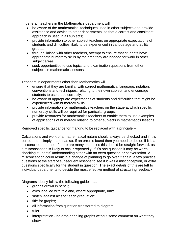In general, teachers in the Mathematics department will:

- be aware of the mathematical techniques used in other subjects and provide assistance and advice to other departments, so that a correct and consistent approach is used in all subjects;
- provide information to other subject teachers on appropriate expectations of students and difficulties likely to be experienced in various age and ability groups;
- through liaison with other teachers, attempt to ensure that students have appropriate numeracy skills by the time they are needed for work in other subject areas;
- seek opportunities to use topics and examination questions from other subjects in mathematics lessons.

Teachers in departments other than Mathematics will:

- ensure that they are familiar with correct mathematical language, notation, conventions and techniques, relating to their own subject, and encourage students to use these correctly;
- be aware of appropriate expectations of students and difficulties that might be experienced with numeracy skills;
- provide information for mathematics teachers on the stage at which specific numeracy skills will be required for particular groups;
- provide resources for mathematics teachers to enable them to use examples of applications of numeracy relating to other subjects in mathematics lessons.

Removed specific guidance for marking to be replaced with a principle –

Calculations and work of a mathematical nature should always be checked and if it is correct then simply mark it as so. If an error is found then you need to decide if it is a misconception or not. If there are many examples this should be straight forward, as a misconception is likely to occur repeatedly. If it's one question it may be worth checking students' understanding either with an extra question or conversation. A misconception could result in a change of planning to go over it again, a few practice questions at the start of subsequent lessons to see if it was a misconception, or extra questions specifically for the student in question. The exact details of this are left to individual departments to decide the most effective method of structuring feedback.

Diagrams ideally follow the following guidelines:

- graphs drawn in pencil;
- axes labelled with title and, where appropriate, units;
- 'notch' against axis for each graduation;
- $\bullet$  title for graphs;
- all information from question transferred to diagram;
- tuler:
- interpretation no data-handling graphs without some comment on what they show.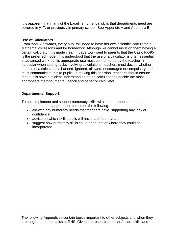It is apparent that many of the baseline numerical skills that departments need are covered in yr 7, or previously in primary school. See Appendix A and Appendix B.

#### **Use of Calculators**

From Year 7 onwards, every pupil will need to have her own scientific calculator in Mathematics lessons and for homework. Although we cannot insist on them having a certain calculator it is made clear in paperwork sent to parents that the Casio FX-95 is the preferred model. It is understood that the use of a calculator is often essential in advanced work but its appropriate use must be monitored by the teacher. In particular when setting tasks involving calculations, teachers must decide whether the use of a calculator is banned, ignored, allowed, encouraged or compulsory and must communicate this to pupils. In making this decision, teachers should ensure that pupils have sufficient understanding of the calculation to decide the most appropriate method: mental, pencil and paper or calculator.

#### **Departmental Support:**

To help implement and support numeracy skills within departments the maths department can be approached for aid on the following:

- aid with any numeracy needs that teachers have, supporting any lack of confidence
- advise on which skills pupils will have at different years.
- suggest how numeracy skills could be taught or where they could be incorporated.

The following Appendices contain topics important to other subjects and when they are taught in mathematics at RHS. Given the research on transferable skills and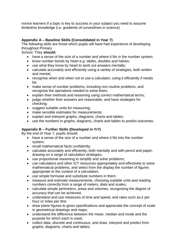novice learners if a topic is key to success in your subject you need to assume limited/no knowledge (i.e. gradients of curves/lines in science)

# **Appendix A – Baseline Skills (Consolidated in Year 7)**

The following skills are those which pupils will have had experience of developing throughout Primary

School. They **should**:

- have a sense of the size of a number and where it fits in the number system;
- know number bonds by heart e.g. tables, doubles and halves;
- use what they know by heart to work out answers mentally;
- calculate accurately and efficiently using a variety of strategies, both written and mental;
- recognise when and when not to use a calculator; using it efficiently if needs be;
- make sense of number problems, including non-routine problems, and recognise the operations needed to solve them;
- explain their methods and reasoning using correct mathematical terms;
- judge whether their answers are reasonable, and have strategies for checking;
- suggest suitable units for measuring;
- make sensible estimates for measurements;
- explain and interpret graphs, diagrams, charts and tables;
- use the numbers in graphs, diagrams, charts and tables to predict outcomes.

#### **Appendix B – Further Skills (Developed in Yr7)**

By the end of Year 7, pupils should:

- have a sense of the size of a number and where it fits into the number system;
- recall mathematical facts confidently;
- calculate accurately and efficiently, both mentally and with pencil and paper, drawing on a range of calculation strategies;
- use proportional reasoning to simplify and solve problems;
- use calculators and other ICT resources appropriately and effectively to solve mathematical problems, and select from the display the number of figures appropriate to the context of a calculation;
- use simple formulae and substitute numbers in them;
- measure and estimate measurements, choosing suitable units and reading numbers correctly from a range of meters, dials and scales;
- calculate simple perimeters, areas and volumes, recognising the degree of accuracy that can be achieved;
- understand and use measures of time and speed, and rates such as £ per hour or miles per litre;
- draw plane figures to given specifications and appreciate the concept of scale in geometrical drawings and maps;
- understand the difference between the mean, median and mode and the purpose for which each is used;
- collect data, discrete and continuous, and draw, interpret and predict from graphs, diagrams, charts and tables;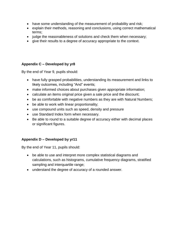- have some understanding of the measurement of probability and risk;
- explain their methods, reasoning and conclusions, using correct mathematical terms;
- judge the reasonableness of solutions and check them when necessary;
- give their results to a degree of accuracy appropriate to the context.

# **Appendix C – Developed by yr8**

By the end of Year 9, pupils should:

- have fully grasped probabilities, understanding its measurement and links to likely outcomes, including "And" events;
- make informed choices about purchases given appropriate information;
- calculate an items original price given a sale price and the discount;
- be as comfortable with negative numbers as they are with Natural Numbers;
- be able to work with linear proportionality;
- use compound units such as speed, density and pressure
- use Standard Index form when necessary.
- Be able to round to a suitable degree of accuracy either with decimal places or significant figures.

# **Appendix D – Developed by yr11**

By the end of Year 11, pupils should:

- be able to use and interpret more complex statistical diagrams and calculations, such as histograms, cumulative frequency diagrams, stratified sampling and interquartile range;
- understand the degree of accuracy of a rounded answer.